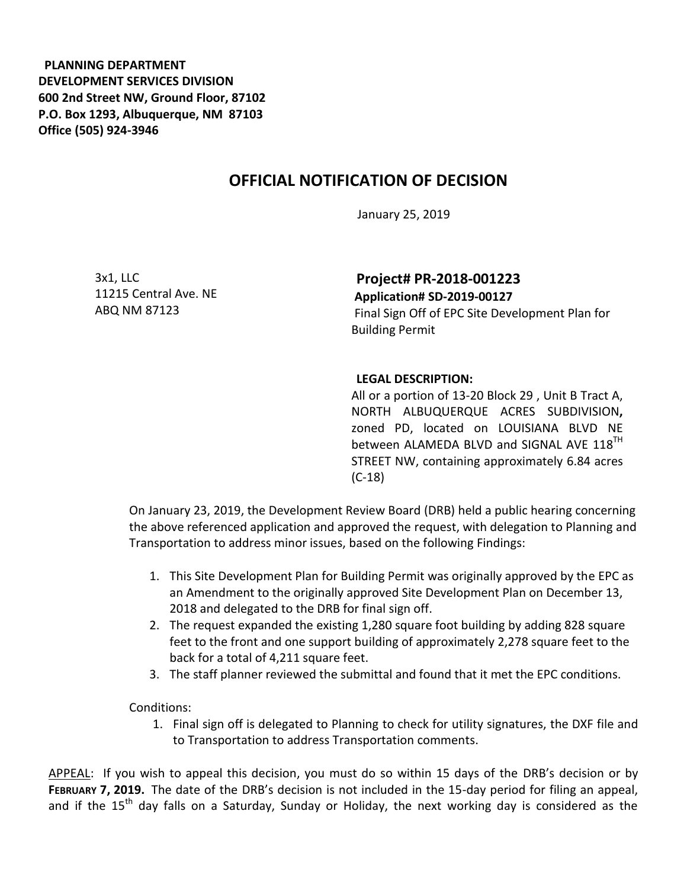**PLANNING DEPARTMENT DEVELOPMENT SERVICES DIVISION 600 2nd Street NW, Ground Floor, 87102 P.O. Box 1293, Albuquerque, NM 87103 Office (505) 924-3946** 

## **OFFICIAL NOTIFICATION OF DECISION**

January 25, 2019

3x1, LLC 11215 Central Ave. NE ABQ NM 87123

**Project# PR-2018-001223 Application# SD-2019-00127** 

Final Sign Off of EPC Site Development Plan for Building Permit

## **LEGAL DESCRIPTION:**

All or a portion of 13-20 Block 29 , Unit B Tract A, NORTH ALBUQUERQUE ACRES SUBDIVISION**,**  zoned PD, located on LOUISIANA BLVD NE between ALAMEDA BLVD and SIGNAL AVE 118<sup>TH</sup> STREET NW, containing approximately 6.84 acres (C-18)

On January 23, 2019, the Development Review Board (DRB) held a public hearing concerning the above referenced application and approved the request, with delegation to Planning and Transportation to address minor issues, based on the following Findings:

- 1. This Site Development Plan for Building Permit was originally approved by the EPC as an Amendment to the originally approved Site Development Plan on December 13, 2018 and delegated to the DRB for final sign off.
- 2. The request expanded the existing 1,280 square foot building by adding 828 square feet to the front and one support building of approximately 2,278 square feet to the back for a total of 4,211 square feet.
- 3. The staff planner reviewed the submittal and found that it met the EPC conditions.

Conditions:

1. Final sign off is delegated to Planning to check for utility signatures, the DXF file and to Transportation to address Transportation comments.

APPEAL: If you wish to appeal this decision, you must do so within 15 days of the DRB's decision or by **FEBRUARY 7, 2019.** The date of the DRB's decision is not included in the 15-day period for filing an appeal, and if the 15<sup>th</sup> day falls on a Saturday, Sunday or Holiday, the next working day is considered as the